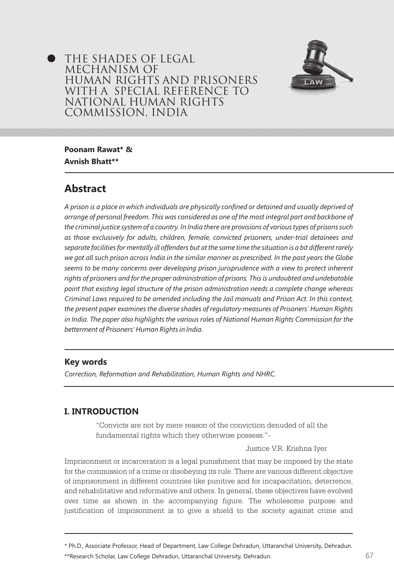## THE SHADES OF LEGAL MECHANISM OF HUMAN RIGHTS AND PRISONERS WITH A SPECIAL REFERENCE TO NATIONAL HUMAN RIGHTS COMMISSION, INDIA



**Poonam Rawat\* & Avnish Bhatt\*\***

# **Abstract**

*A prison is a place in which individuals are physically confined or detained and usually deprived of arrange of personal freedom. This was considered as one of the most integral part and backbone of the criminal justice system of a country. In India there are provisions of various types of prisons such as those exclusively for adults, children, female, convicted prisoners, under-trial detainees and separate facilities for mentally ill offenders but at the same time the situation is a bit different rarely we got all such prison across India in the similar manner as prescribed. In the past years the Globe*  seems to be many concerns over developing prison jurisprudence with a view to protect inherent *rights of prisoners and for the proper administration of prisons. This is undoubted and undebatable point that existing legal structure of the prison administration needs a complete change whereas Criminal Laws required to be amended including the Jail manuals and Prison Act. In this context, the present paper examines the diverse shades of regulatory measures of Prisoners' Human Rights*  in India. The paper also highlights the various roles of National Human Rights Commission for the *betterment of Prisoners' Human Rights in India.* 

### **Key words**

*Correction, Reformation and Rehabilitation, Human Rights and NHRC.*

### **I. INTRODUCTION**

"Convicts are not by mere reason of the conviction denuded of all the fundamental rights which they otherwise possess."-

#### Justice V.R. Krishna Iyer

Imprisonment or incarceration is a legal punishment that may be imposed by the state for the commission of a crime or disobeying its rule. There are various different objective of imprisonment in different countries like punitive and for incapacitation, deterrence, and rehabilitative and reformative and others. In general, these objectives have evolved over time as shown in the accompanying figure. The wholesome purpose and justification of imprisonment is to give a shield to the society against crime and

\*\*Research Scholar, Law College Dehradun, Uttaranchal University, Dehradun. 66 67

<sup>\*</sup> Ph.D., Associate Professor, Head of Department, Law College Dehradun, Uttaranchal University, Dehradun.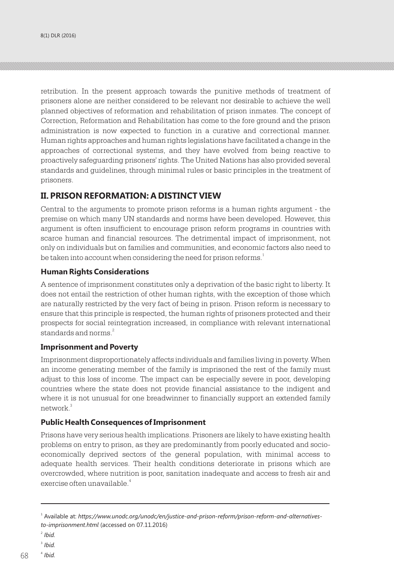retribution. In the present approach towards the punitive methods of treatment of prisoners alone are neither considered to be relevant nor desirable to achieve the well planned objectives of reformation and rehabilitation of prison inmates. The concept of Correction, Reformation and Rehabilitation has come to the fore ground and the prison administration is now expected to function in a curative and correctional manner. Human rights approaches and human rights legislations have facilitated a change in the approaches of correctional systems, and they have evolved from being reactive to proactively safeguarding prisoners' rights. The United Nations has also provided several standards and guidelines, through minimal rules or basic principles in the treatment of prisoners.

### **II. PRISON REFORMATION: A DISTINCT VIEW**

Central to the arguments to promote prison reforms is a human rights argument - the premise on which many UN standards and norms have been developed. However, this argument is often insufficient to encourage prison reform programs in countries with scarce human and financial resources. The detrimental impact of imprisonment, not only on individuals but on families and communities, and economic factors also need to be taken into account when considering the need for prison reforms. $^{\rm 1}$ 

#### **Human Rights Considerations**

A sentence of imprisonment constitutes only a deprivation of the basic right to liberty. It does not entail the restriction of other human rights, with the exception of those which are naturally restricted by the very fact of being in prison. Prison reform is necessary to ensure that this principle is respected, the human rights of prisoners protected and their prospects for social reintegration increased, in compliance with relevant international standards and norms.<sup>2</sup>

#### **Imprisonment and Poverty**

Imprisonment disproportionately affects individuals and families living in poverty. When an income generating member of the family is imprisoned the rest of the family must adjust to this loss of income. The impact can be especially severe in poor, developing countries where the state does not provide financial assistance to the indigent and where it is not unusual for one breadwinner to financially support an extended family network.<sup>3</sup>

#### **Public Health Consequences of Imprisonment**

Prisons have very serious health implications. Prisoners are likely to have existing health problems on entry to prison, as they are predominantly from poorly educated and socioeconomically deprived sectors of the general population, with minimal access to adequate health services. Their health conditions deteriorate in prisons which are overcrowded, where nutrition is poor, sanitation inadequate and access to fresh air and exercise often unavailable.<sup>4</sup>

<sup>1</sup> Available at: *https://www.unodc.org/unodc/en/justice-and-prison-reform/prison-reform-and-alternativesto-imprisonment.html* (accessed on 07.11.2016)

<sup>2</sup>  *Ibid.*

<sup>3</sup>  *Ibid.*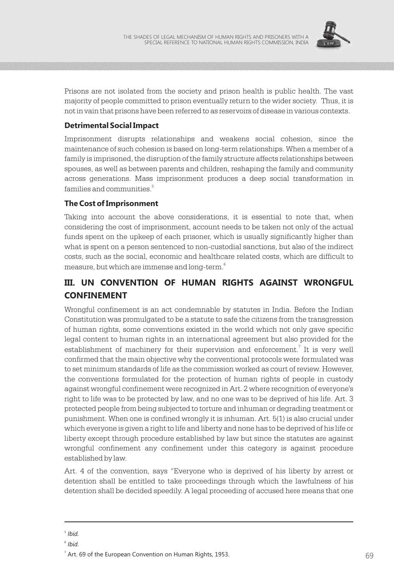

Prisons are not isolated from the society and prison health is public health. The vast majority of people committed to prison eventually return to the wider society. Thus, it is not in vain that prisons have been referred to as reservoirs of disease in various contexts.

### **Detrimental Social Impact**

Imprisonment disrupts relationships and weakens social cohesion, since the maintenance of such cohesion is based on long-term relationships. When a member of a family is imprisoned, the disruption of the family structure affects relationships between spouses, as well as between parents and children, reshaping the family and community across generations. Mass imprisonment produces a deep social transformation in 5 families and communities.

### **The Cost of Imprisonment**

Taking into account the above considerations, it is essential to note that, when considering the cost of imprisonment, account needs to be taken not only of the actual funds spent on the upkeep of each prisoner, which is usually significantly higher than what is spent on a person sentenced to non-custodial sanctions, but also of the indirect costs, such as the social, economic and healthcare related costs, which are difficult to measure, but which are immense and long-term.<sup>6</sup>

## **III. UN CONVENTION OF HUMAN RIGHTS AGAINST WRONGFUL CONFINEMENT**

Wrongful confinement is an act condemnable by statutes in India. Before the Indian Constitution was promulgated to be a statute to safe the citizens from the transgression of human rights, some conventions existed in the world which not only gave specific legal content to human rights in an international agreement but also provided for the establishment of machinery for their supervision and enforcement.<sup>7</sup> It is very well confirmed that the main objective why the conventional protocols were formulated was to set minimum standards of life as the commission worked as court of review. However, the conventions formulated for the protection of human rights of people in custody against wrongful confinement were recognized in Art. 2 where recognition of everyone's right to life was to be protected by law, and no one was to be deprived of his life. Art. 3 protected people from being subjected to torture and inhuman or degrading treatment or punishment. When one is confined wrongly it is inhuman. Art. 5(1) is also crucial under which everyone is given a right to life and liberty and none has to be deprived of his life or liberty except through procedure established by law but since the statutes are against wrongful confinement any confinement under this category is against procedure established by law.

Art. 4 of the convention, says "Everyone who is deprived of his liberty by arrest or detention shall be entitled to take proceedings through which the lawfulness of his detention shall be decided speedily. A legal proceeding of accused here means that one

<sup>5</sup> *Ibid.*

<sup>6</sup>  *Ibid.*

 $^7$  Art. 69 of the European Convention on Human Rights, 1953.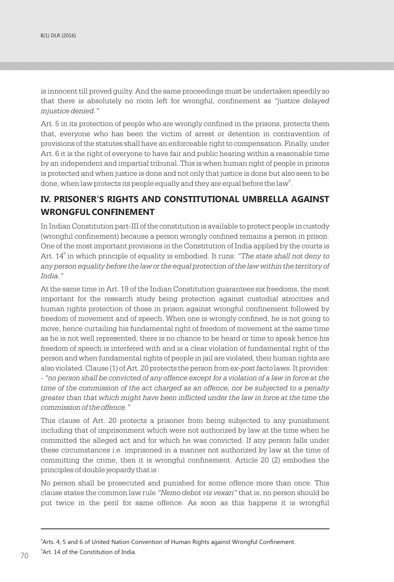is innocent till proved guilty. And the same proceedings must be undertaken speedily so that there is absolutely no room left for wrongful, confinement as *"justice delayed injustice denied."*

Art. 5 in its protection of people who are wrongly confined in the prisons, protects them that, everyone who has been the victim of arrest or detention in contravention of provisions of the statutes shall have an enforceable right to compensation. Finally, under Art. 6 it is the right of everyone to have fair and public hearing within a reasonable time by an independent and impartial tribunal. This is when human right of people in prisons is protected and when justice is done and not only that justice is done but also seen to be done, when law protects its people equally and they are equal before the law $^{\rm 8}.$ 

## **IV. PRISONER'S RIGHTS AND CONSTITUTIONAL UMBRELLA AGAINST WRONGFUL CONFINEMENT**

In Indian Constitution part-III of the constitution is available to protect people in custody (wrongful confinement) because a person wrongly confined remains a person in prison. One of the most important provisions in the Constitution of India applied by the courts is <sup>9</sup> Art. 14 in which principle of equality is embodied. It runs: *"The state shall not deny to any person equality before the law or the equal protection of the law within the territory of India."*

At the same time in Art. 19 of the Indian Constitution guarantees six freedoms, the most important for the research study being protection against custodial atrocities and human rights protection of those in prison against wrongful confinement followed by freedom of movement and of speech. When one is wrongly confined, he is not going to move, hence curtailing his fundamental right of freedom of movement at the same time as he is not well represented, there is no chance to be heard or time to speak hence his freedom of speech is interfered with and is a clear violation of fundamental right of the person and when fundamental rights of people in jail are violated, their human rights are also violated. Clause (1) of Art. 20 protects the person from *ex-post facto* laws. It provides: - *"no person shall be convicted of any offence except for a violation of a law in force at the time of the commission of the act charged as an offence, nor be subjected to a penalty greater than that which might have been inflicted under the law in force at the time the commission of the offence."*

This clause of Art. 20 protects a prisoner from being subjected to any punishment including that of imprisonment which were not authorized by law at the time when he committed the alleged act and for which he was convicted. If any person falls under these circumstances i.e. imprisoned in a manner not authorized by law at the time of committing the crime, then it is wrongful confinement. Article 20 (2) embodies the principles of double jeopardy that is :

No person shall be prosecuted and punished for some offence more than once. This clause states the common law rule *"Nemo debot vis vexari"* that is, no person should be put twice in the peril for same offence. As soon as this happens it is wrongful

8 Arts. 4, 5 and 6 of United Nation Convention of Human Rights against Wrongful Confinement. <sup>9</sup> Art. 14 of the Constitution of India.  $70$   $\mu$ u, 14 of the Constitution of India.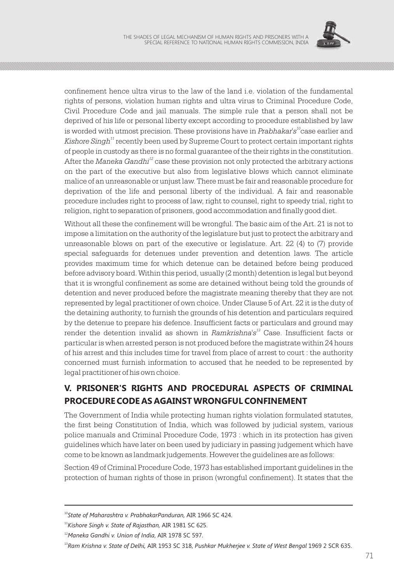

confinement hence ultra virus to the law of the land i.e. violation of the fundamental rights of persons, violation human rights and ultra virus to Criminal Procedure Code, Civil Procedure Code and jail manuals. The simple rule that a person shall not be deprived of his life or personal liberty except according to procedure established by law is worded with utmost precision. These provisions have in *Prabhakar's* <sup>no</sup>case earlier and *Kishore Singh*<sup>11</sup> recently been used by Supreme Court to protect certain important rights of people in custody as there is no formal guarantee of the their rights in the constitution. After the *Maneka Gandhi*<sup>12</sup> case these provision not only protected the arbitrary actions on the part of the executive but also from legislative blows which cannot eliminate malice of an unreasonable or unjust law. There must be fair and reasonable procedure for deprivation of the life and personal liberty of the individual. A fair and reasonable procedure includes right to process of law, right to counsel, right to speedy trial, right to religion, right to separation of prisoners, good accommodation and finally good diet.

Without all these the confinement will be wrongful. The basic aim of the Art. 21 is not to impose a limitation on the authority of the legislature but just to protect the arbitrary and unreasonable blows on part of the executive or legislature. Art. 22 (4) to (7) provide special safeguards for detenues under prevention and detention laws. The article provides maximum time for which detenue can be detained before being produced before advisory board. Within this period, usually (2 month) detention is legal but beyond that it is wrongful confinement as some are detained without being told the grounds of detention and never produced before the magistrate meaning thereby that they are not represented by legal practitioner of own choice. Under Clause 5 of Art. 22 it is the duty of the detaining authority, to furnish the grounds of his detention and particulars required by the detenue to prepare his defence. Insufficient facts or particulars and ground may *<sup>13</sup>* render the detention invalid as shown in *Ramkrishna's* Case. Insufficient facts or particular is when arrested person is not produced before the magistrate within 24 hours of his arrest and this includes time for travel from place of arrest to court : the authority concerned must furnish information to accused that he needed to be represented by legal practitioner of his own choice.

# **V. PRISONER'S RIGHTS AND PROCEDURAL ASPECTS OF CRIMINAL PROCEDURE CODE AS AGAINST WRONGFUL CONFINEMENT**

The Government of India while protecting human rights violation formulated statutes, the first being Constitution of India, which was followed by judicial system, various police manuals and Criminal Procedure Code, 1973 : which in its protection has given guidelines which have later on been used by judiciary in passing judgement which have come to be known as landmark judgements. However the guidelines are as follows:

Section 49 of Criminal Procedure Code, 1973 has established important guidelines in the protection of human rights of those in prison (wrongful confinement). It states that the

<sup>10</sup>*State of Maharashtra v. PrabhakarPanduran,* AIR 1966 SC 424.

<sup>11</sup>*Kishore Singh v. State of Rajasthan,* AIR 1981 SC 625.

<sup>12</sup>*Maneka Gandhi v. Union of India*, AIR 1978 SC 597.

<sup>13</sup>*Ram Krishna v. State of Delhi,* AIR 1953 SC 318, *Pushkar Mukherjee v. State of West Bengal* 1969 2 SCR 635.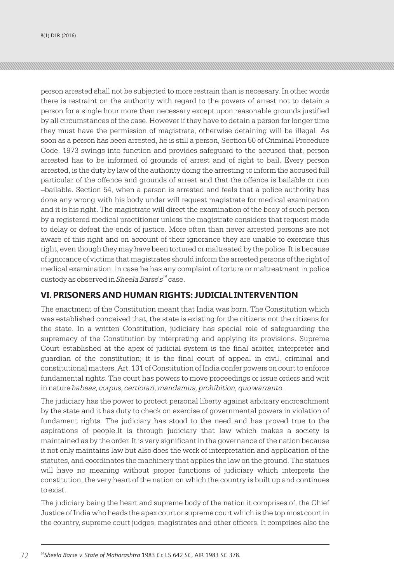person arrested shall not be subjected to more restrain than is necessary. In other words there is restraint on the authority with regard to the powers of arrest not to detain a person for a single hour more than necessary except upon reasonable grounds justified by all circumstances of the case. However if they have to detain a person for longer time they must have the permission of magistrate, otherwise detaining will be illegal. As soon as a person has been arrested, he is still a person, Section 50 of Criminal Procedure Code, 1973 swings into function and provides safeguard to the accused that, person arrested has to be informed of grounds of arrest and of right to bail. Every person arrested, is the duty by law of the authority doing the arresting to inform the accused full particular of the offence and grounds of arrest and that the offence is bailable or non –bailable. Section 54, when a person is arrested and feels that a police authority has done any wrong with his body under will request magistrate for medical examination and it is his right. The magistrate will direct the examination of the body of such person by a registered medical practitioner unless the magistrate considers that request made to delay or defeat the ends of justice. More often than never arrested persons are not aware of this right and on account of their ignorance they are unable to exercise this right, even though they may have been tortured or maltreated by the police. It is because of ignorance of victims that magistrates should inform the arrested persons of the right of medical examination, in case he has any complaint of torture or maltreatment in police *<sup>14</sup>* custody as observed in *Sheela Barse's* case.

### **VI. PRISONERS AND HUMAN RIGHTS: JUDICIAL INTERVENTION**

The enactment of the Constitution meant that India was born. The Constitution which was established conceived that, the state is existing for the citizens not the citizens for the state. In a written Constitution, judiciary has special role of safeguarding the supremacy of the Constitution by interpreting and applying its provisions. Supreme Court established at the apex of judicial system is the final arbiter, interpreter and guardian of the constitution; it is the final court of appeal in civil, criminal and constitutional matters. Art. 131 of Constitution of India confer powers on court to enforce fundamental rights. The court has powers to move proceedings or issue orders and writ in nature *habeas, corpus, certiorari, mandamus, prohibition, quo warranto*.

The judiciary has the power to protect personal liberty against arbitrary encroachment by the state and it has duty to check on exercise of governmental powers in violation of fundament rights. The judiciary has stood to the need and has proved true to the aspirations of people.It is through judiciary that law which makes a society is maintained as by the order. It is very significant in the governance of the nation because it not only maintains law but also does the work of interpretation and application of the statutes, and coordinates the machinery that applies the law on the ground. The statues will have no meaning without proper functions of judiciary which interprets the constitution, the very heart of the nation on which the country is built up and continues to exist.

The judiciary being the heart and supreme body of the nation it comprises of, the Chief Justice of India who heads the apex court or supreme court which is the top most court in the country, supreme court judges, magistrates and other officers. It comprises also the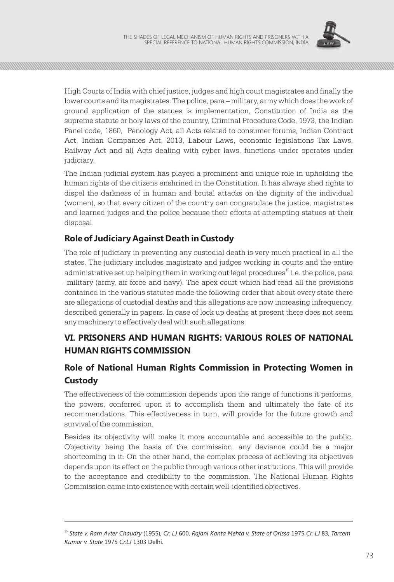

High Courts of India with chief justice, judges and high court magistrates and finally the lower courts and its magistrates. The police, para – military, army which does the work of ground application of the statues is implementation, Constitution of India as the supreme statute or holy laws of the country, Criminal Procedure Code, 1973, the Indian Panel code, 1860, Penology Act, all Acts related to consumer forums, Indian Contract Act, Indian Companies Act, 2013, Labour Laws, economic legislations Tax Laws, Railway Act and all Acts dealing with cyber laws, functions under operates under judiciary.

The Indian judicial system has played a prominent and unique role in upholding the human rights of the citizens enshrined in the Constitution. It has always shed rights to dispel the darkness of in human and brutal attacks on the dignity of the individual (women), so that every citizen of the country can congratulate the justice, magistrates and learned judges and the police because their efforts at attempting statues at their disposal.

## **Role of Judiciary Against Death in Custody**

The role of judiciary in preventing any custodial death is very much practical in all the states. The judiciary includes magistrate and judges working in courts and the entire administrative set up helping them in working out legal procedures ${}^{15}$  i.e. the police, para -military (army, air force and navy). The apex court which had read all the provisions contained in the various statutes made the following order that about every state there are allegations of custodial deaths and this allegations are now increasing infrequency, described generally in papers. In case of lock up deaths at present there does not seem any machinery to effectively deal with such allegations.

# **VI. PRISONERS AND HUMAN RIGHTS: VARIOUS ROLES OF NATIONAL HUMAN RIGHTS COMMISSION**

# **Role of National Human Rights Commission in Protecting Women in Custody**

The effectiveness of the commission depends upon the range of functions it performs, the powers, conferred upon it to accomplish them and ultimately the fate of its recommendations. This effectiveness in turn, will provide for the future growth and survival of the commission.

Besides its objectivity will make it more accountable and accessible to the public. Objectivity being the basis of the commission, any deviance could be a major shortcoming in it. On the other hand, the complex process of achieving its objectives depends upon its effect on the public through various other institutions. This will provide to the acceptance and credibility to the commission. The National Human Rights Commission came into existence with certain well-identified objectives.

<sup>15</sup> *State v. Ram Avter Chaudry* (1955), *Cr. LJ* 600, *Rajani Kanta Mehta v. State of Orissa* 1975 *Cr. LJ* 83, *Tarcem Kumar v. State* 1975 *Cr.LJ* 1303 Delhi.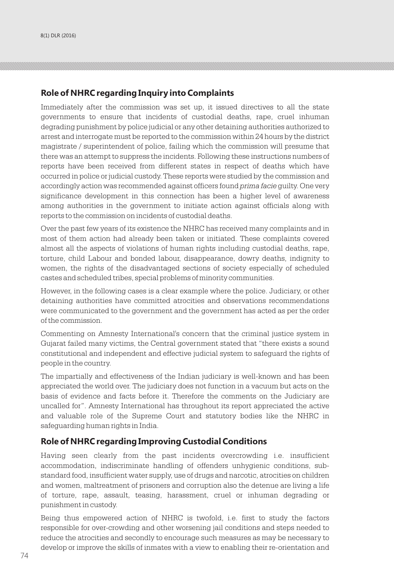### **Role of NHRC regarding Inquiry into Complaints**

Immediately after the commission was set up, it issued directives to all the state governments to ensure that incidents of custodial deaths, rape, cruel inhuman degrading punishment by police judicial or any other detaining authorities authorized to arrest and interrogate must be reported to the commission within 24 hours by the district magistrate / superintendent of police, failing which the commission will presume that there was an attempt to suppress the incidents. Following these instructions numbers of reports have been received from different states in respect of deaths which have occurred in police or judicial custody. These reports were studied by the commission and accordingly action was recommended against officers found *prima facie* guilty. One very significance development in this connection has been a higher level of awareness among authorities in the government to initiate action against officials along with reports to the commission on incidents of custodial deaths.

Over the past few years of its existence the NHRC has received many complaints and in most of them action had already been taken or initiated. These complaints covered almost all the aspects of violations of human rights including custodial deaths, rape, torture, child Labour and bonded labour, disappearance, dowry deaths, indignity to women, the rights of the disadvantaged sections of society especially of scheduled castes and scheduled tribes, special problems of minority communities.

However, in the following cases is a clear example where the police. Judiciary, or other detaining authorities have committed atrocities and observations recommendations were communicated to the government and the government has acted as per the order of the commission.

Commenting on Amnesty International's concern that the criminal justice system in Gujarat failed many victims, the Central government stated that "there exists a sound constitutional and independent and effective judicial system to safeguard the rights of people in the country.

The impartially and effectiveness of the Indian judiciary is well-known and has been appreciated the world over. The judiciary does not function in a vacuum but acts on the basis of evidence and facts before it. Therefore the comments on the Judiciary are uncalled for". Amnesty International has throughout its report appreciated the active and valuable role of the Supreme Court and statutory bodies like the NHRC in safeguarding human rights in India.

### **Role of NHRC regarding Improving Custodial Conditions**

Having seen clearly from the past incidents overcrowding i.e. insufficient accommodation, indiscriminate handling of offenders unhygienic conditions, substandard food, insufficient water supply, use of drugs and narcotic, atrocities on children and women, maltreatment of prisoners and corruption also the detenue are living a life of torture, rape, assault, teasing, harassment, cruel or inhuman degrading or punishment in custody.

Being thus empowered action of NHRC is twofold, i.e. first to study the factors responsible for over-crowding and other worsening jail conditions and steps needed to reduce the atrocities and secondly to encourage such measures as may be necessary to develop or improve the skills of inmates with a view to enabling their re-orientation and 74 provocative circumstances. In this regard the commission calls the Director Generals of 75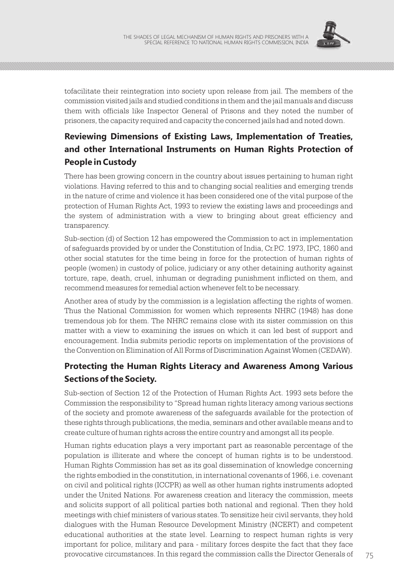

tofacilitate their reintegration into society upon release from jail. The members of the commission visited jails and studied conditions in them and the jail manuals and discuss them with officials like Inspector General of Prisons and they noted the number of prisoners, the capacity required and capacity the concerned jails had and noted down.

# **Reviewing Dimensions of Existing Laws, Implementation of Treaties, and other International Instruments on Human Rights Protection of People in Custody**

There has been growing concern in the country about issues pertaining to human right violations. Having referred to this and to changing social realities and emerging trends in the nature of crime and violence it has been considered one of the vital purpose of the protection of Human Rights Act, 1993 to review the existing laws and proceedings and the system of administration with a view to bringing about great efficiency and transparency.

Sub-section (d) of Section 12 has empowered the Commission to act in implementation of safeguards provided by or under the Constitution of India, Cr.P.C. 1973, IPC, 1860 and other social statutes for the time being in force for the protection of human rights of people (women) in custody of police, judiciary or any other detaining authority against torture, rape, death, cruel, inhuman or degrading punishment inflicted on them, and recommend measures for remedial action whenever felt to be necessary.

Another area of study by the commission is a legislation affecting the rights of women. Thus the National Commission for women which represents NHRC (1948) has done tremendous job for them. The NHRC remains close with its sister commission on this matter with a view to examining the issues on which it can led best of support and encouragement. India submits periodic reports on implementation of the provisions of the Convention on Elimination of All Forms of Discrimination Against Women (CEDAW).

# **Protecting the Human Rights Literacy and Awareness Among Various Sections of the Society.**

Sub-section of Section 12 of the Protection of Human Rights Act. 1993 sets before the Commission the responsibility to "Spread human rights literacy among various sections of the society and promote awareness of the safeguards available for the protection of these rights through publications, the media, seminars and other available means and to create culture of human rights across the entire country and amongst all its people.

Human rights education plays a very important part as reasonable percentage of the population is illiterate and where the concept of human rights is to be understood. Human Rights Commission has set as its goal dissemination of knowledge concerning the rights embodied in the constitution, in international covenants of 1966, i.e. covenant on civil and political rights (ICCPR) as well as other human rights instruments adopted under the United Nations. For awareness creation and literacy the commission, meets and solicits support of all political parties both national and regional. Then they hold meetings with chief ministers of various states. To sensitize heir civil servants, they hold dialogues with the Human Resource Development Ministry (NCERT) and competent educational authorities at the state level. Learning to respect human rights is very important for police, military and para - military forces despite the fact that they face provocative circumstances. In this regard the commission calls the Director Generals of 75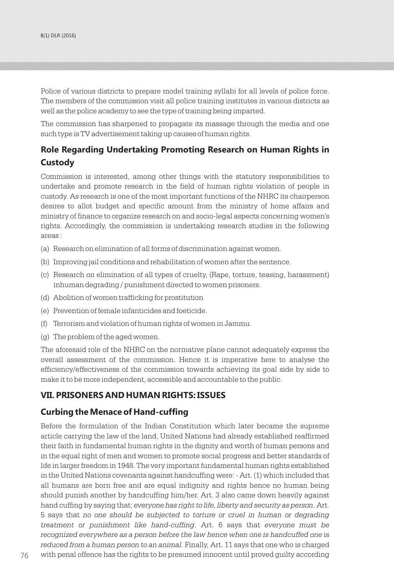Police of various districts to prepare model training syllabi for all levels of police force. The members of the commission visit all police training institutes in various districts as well as the police academy to see the type of training being imparted.

The commission has sharpened to propagate its massage through the media and one such type is TV advertisement taking up causes of human rights.

## **Role Regarding Undertaking Promoting Research on Human Rights in Custody**

Commission is interested, among other things with the statutory responsibilities to undertake and promote research in the field of human rights violation of people in custody. As research is one of the most important functions of the NHRC its chairperson desires to allot budget and specific amount from the ministry of home affairs and ministry of finance to organize research on and socio-legal aspects concerning women's rights. Accordingly, the commission is undertaking research studies in the following  $area<sub>c</sub>$ 

- (a) Research on elimination of all forms of discrimination against women.
- (b) Improving jail conditions and rehabilitation of women after the sentence.
- (c) Research on elimination of all types of cruelty, (Rape, torture, teasing, harassment) inhuman degrading / punishment directed to women prisoners.
- (d) Abolition of women trafficking for prostitution
- (e) Prevention of female infanticides and foeticide.
- (f) Terrorism and violation of human rights of women in Jammu.
- (g) The problem of the aged women.

The aforesaid role of the NHRC on the normative plane cannot adequately express the overall assessment of the commission. Hence it is imperative here to analyse the efficiency/effectiveness of the commission towards achieving its goal side by side to make it to be more independent, accessible and accountable to the public.

#### **VII. PRISONERS AND HUMAN RIGHTS: ISSUES**

#### **Curbing the Menace of Hand-cuffing**

Before the formulation of the Indian Constitution which later became the supreme article carrying the law of the land, United Nations had already established reaffirmed their faith in fundamental human rights in the dignity and worth of human persons and in the equal right of men and women to promote social progress and better standards of life in larger freedom in 1948. The very important fundamental human rights established in the United Nations covenants against handcuffing were: - Art. (1) which included that all humans are born free and are equal indignity and rights hence no human being should punish another by handcuffing him/her. Art. 3 also came down heavily against hand cuffing by saying that; *everyone has right to life, liberty and security as person*. Art. 5 says that *no one should be subjected to torture or cruel in human or degrading treatment or punishment like hand-cuffing*. Art. 6 says that *everyone must be*  recognized everywhere as a person before the law hence when one is handcuffed one is *reduced from a human person to an animal*. Finally, Art. 11 says that one who is charged  $76$  with penal offence has the rights to be presumed innocent until proved guilty according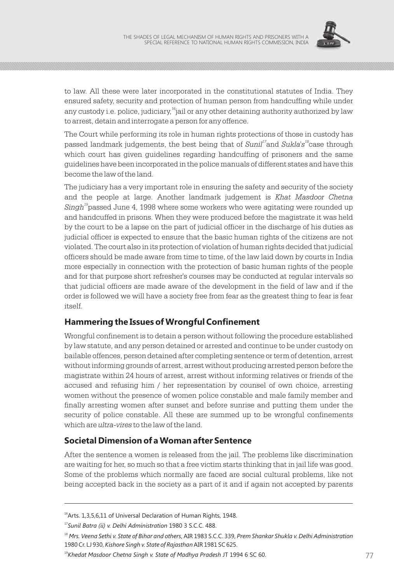

to law. All these were later incorporated in the constitutional statutes of India. They ensured safety, security and protection of human person from handcuffing while under any custody i.e. police, judiciary, $^{\text{16}}$ jail or any other detaining authority authorized by law to arrest, detain and interrogate a person for any offence.

The Court while performing its role in human rights protections of those in custody has passed landmark judgements, the best being that of *Sunil<sup>17</sup>* and *Sukla's* <sup>18</sup> case through which court has given guidelines regarding handcuffing of prisoners and the same guidelines have been incorporated in the police manuals of different states and have this become the law of the land.

The judiciary has a very important role in ensuring the safety and security of the society and the people at large. Another landmark judgement is *Khat Masdoor Chetna Singh*<sup>19</sup> passed June 4, 1998 where some workers who were agitating were rounded up and handcuffed in prisons. When they were produced before the magistrate it was held by the court to be a lapse on the part of judicial officer in the discharge of his duties as judicial officer is expected to ensure that the basic human rights of the citizens are not violated. The court also in its protection of violation of human rights decided that judicial officers should be made aware from time to time, of the law laid down by courts in India more especially in connection with the protection of basic human rights of the people and for that purpose short refresher's courses may be conducted at regular intervals so that judicial officers are made aware of the development in the field of law and if the order is followed we will have a society free from fear as the greatest thing to fear is fear itself.

### **Hammering the Issues of Wrongful Confinement**

Wrongful confinement is to detain a person without following the procedure established by law statute, and any person detained or arrested and continue to be under custody on bailable offences, person detained after completing sentence or term of detention, arrest without informing grounds of arrest, arrest without producing arrested person before the magistrate within 24 hours of arrest, arrest without informing relatives or friends of the accused and refusing him / her representation by counsel of own choice, arresting women without the presence of women police constable and male family member and finally arresting women after sunset and before sunrise and putting them under the security of police constable. All these are summed up to be wrongful confinements which are *ultra-vires* to the law of the land.

### **Societal Dimension of a Woman after Sentence**

After the sentence a women is released from the jail. The problems like discrimination are waiting for her, so much so that a free victim starts thinking that in jail life was good. Some of the problems which normally are faced are social cultural problems, like not being accepted back in the society as a part of it and if again not accepted by parents

<sup>&</sup>lt;sup>16</sup>Arts. 1,3,5,6,11 of Universal Declaration of Human Rights, 1948.

<sup>17</sup>*Sunil Batra (ii) v. Delhi Administration* 1980 3 S.C.C. 488.

<sup>18</sup> *Mrs. Veena Sethi v. State of Bihar and others*, AIR 1983 S.C.C. 339, *Prem Shankar Shukla v. Delhi Administration* 1980 Cr. LJ 930, *Kishore Singh v. State of Rajasthan* AIR 1981 SC 625.

<sup>&</sup>lt;sup>19</sup> Khedat Masdoor Chetna Singh v. State of Madhya Pradesh JT 1994 6 SC 60. *77*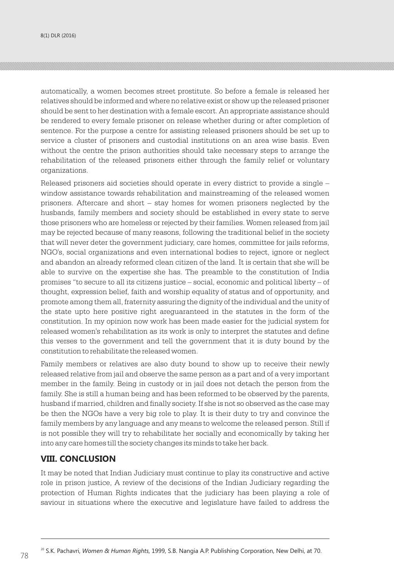$8(1)$  DLR (2016) The SHADES OF LEGAL MECHANISM OF LEGAL MECHANISM OF LEGAL MECHANISM OF HUMAN RIGHTS AND PRISONERS WITH A SHADES WITH A SHADES OF LEGAL MECHANISM OF LEGAL MECHANISM OF LEGAL MECHANISM OF LEGAL MECHANISM O

automatically, a women becomes street prostitute. So before a female is released her relatives should be informed and where no relative exist or show up the released prisoner should be sent to her destination with a female escort. An appropriate assistance should be rendered to every female prisoner on release whether during or after completion of sentence. For the purpose a centre for assisting released prisoners should be set up to service a cluster of prisoners and custodial institutions on an area wise basis. Even without the centre the prison authorities should take necessary steps to arrange the rehabilitation of the released prisoners either through the family relief or voluntary organizations.

Released prisoners aid societies should operate in every district to provide a single – window assistance towards rehabilitation and mainstreaming of the released women prisoners. Aftercare and short – stay homes for women prisoners neglected by the husbands, family members and society should be established in every state to serve those prisoners who are homeless or rejected by their families. Women released from jail may be rejected because of many reasons, following the traditional belief in the society that will never deter the government judiciary, care homes, committee for jails reforms, NGO's, social organizations and even international bodies to reject, ignore or neglect and abandon an already reformed clean citizen of the land. It is certain that she will be able to survive on the expertise she has. The preamble to the constitution of India promises "to secure to all its citizens justice – social, economic and political liberty – of thought, expression belief, faith and worship equality of status and of opportunity, and promote among them all, fraternity assuring the dignity of the individual and the unity of the state upto here positive right areguaranteed in the statutes in the form of the constitution. In my opinion now work has been made easier for the judicial system for released women's rehabilitation as its work is only to interpret the statutes and define this verses to the government and tell the government that it is duty bound by the constitution to rehabilitate the released women.

Family members or relatives are also duty bound to show up to receive their newly released relative from jail and observe the same person as a part and of a very important member in the family. Being in custody or in jail does not detach the person from the family. She is still a human being and has been reformed to be observed by the parents, husband if married, children and finally society. If she is not so observed as the case may be then the NGOs have a very big role to play. It is their duty to try and convince the family members by any language and any means to welcome the released person. Still if is not possible they will try to rehabilitate her socially and economically by taking her into any care homes till the society changes its minds to take her back.

### **VIII. CONCLUSION**

It may be noted that Indian Judiciary must continue to play its constructive and active role in prison justice, A review of the decisions of the Indian Judiciary regarding the protection of Human Rights indicates that the judiciary has been playing a role of saviour in situations where the executive and legislature have failed to address the